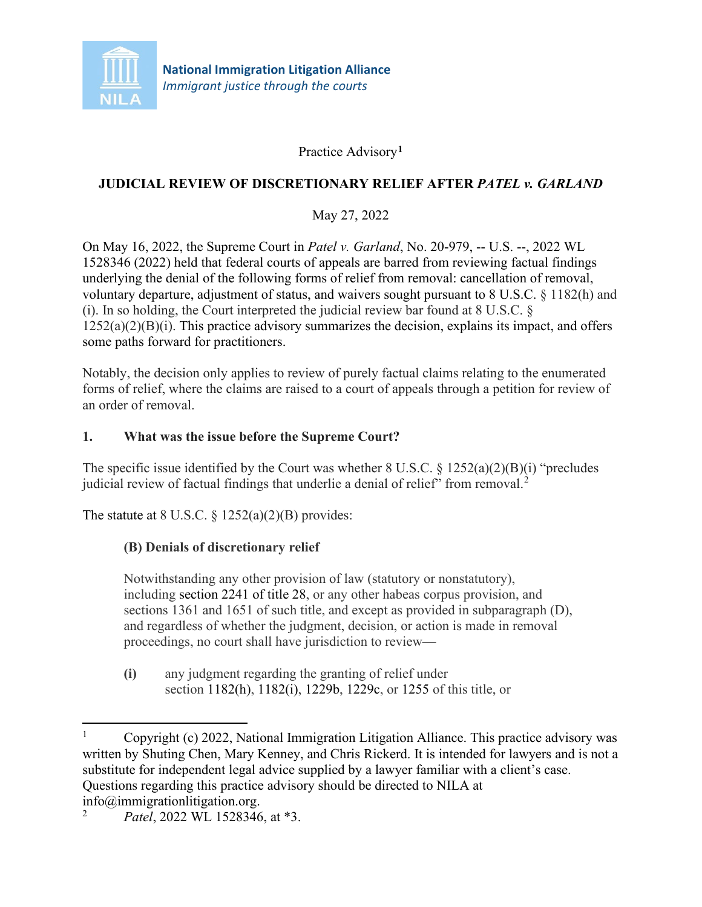

Practice Advisory**[1](#page-0-0)**

## **JUDICIAL REVIEW OF DISCRETIONARY RELIEF AFTER** *PATEL v. GARLAND*

May 27, 2022

On May 16, 2022, the Supreme Court in *Patel v. Garland*, No. 20-979, -- U.S. --, 2022 WL 1528346 (2022) held that federal courts of appeals are barred from reviewing factual findings underlying the denial of the following forms of relief from removal: cancellation of removal, voluntary departure, adjustment of status, and waivers sought pursuant to 8 U.S.C. § 1182(h) and (i). In so holding, the Court interpreted the judicial review bar found at  $8 \text{ U.S.C.}$  $1252(a)(2)(B)(i)$ . This practice advisory summarizes the decision, explains its impact, and offers some paths forward for practitioners.

Notably, the decision only applies to review of purely factual claims relating to the enumerated forms of relief, where the claims are raised to a court of appeals through a petition for review of an order of removal.

### **1. What was the issue before the Supreme Court?**

The specific issue identified by the Court was whether 8 U.S.C.  $\S$  1252(a)(2)(B)(i) "precludes judicial review of factual findings that underlie a denial of relief" from removal.<sup>[2](#page-0-1)</sup>

The statute at  $8 \text{ U.S.C.} \$  $1252(a)(2)(B)$  provides:

## **(B) Denials of discretionary relief**

Notwithstanding any other provision of law (statutory or nonstatutory), including section 2241 of title 28, or any other habeas corpus provision, and sections 1361 and 1651 of such title, and except as provided in subparagraph (D), and regardless of whether the judgment, decision, or action is made in removal proceedings, no court shall have jurisdiction to review—

**(i)** any judgment regarding the granting of relief under section 1182(h), 1182(i), 1229b, 1229c, or 1255 of this title, or

<span id="page-0-0"></span><sup>&</sup>lt;sup>1</sup> Copyright (c) 2022, National Immigration Litigation Alliance. This practice advisory was written by Shuting Chen, Mary Kenney, and Chris Rickerd. It is intended for lawyers and is not a substitute for independent legal advice supplied by a lawyer familiar with a client's case. Questions regarding this practice advisory should be directed to NILA at

<span id="page-0-1"></span>info@immigrationlitigation.org. 2 *Patel*, 2022 WL 1528346, at \*3.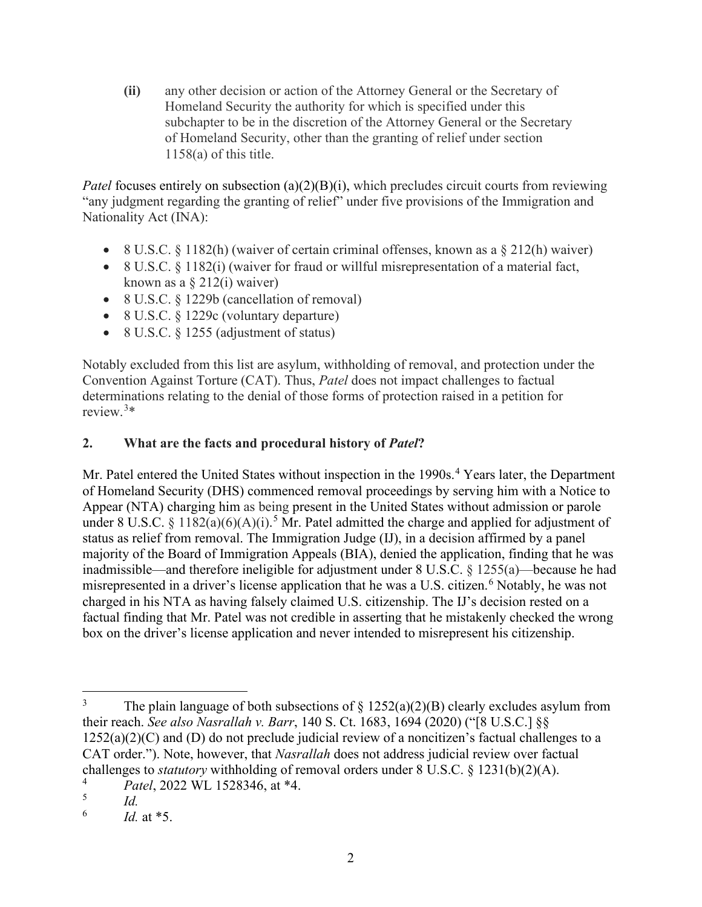**(ii)** any other decision or action of the Attorney General or the Secretary of Homeland Security the authority for which is specified under this subchapter to be in the discretion of the Attorney General or the Secretary of Homeland Security, other than the granting of relief under section 1158(a) of this title.

*Patel* focuses entirely on subsection (a)(2)(B)(i), which precludes circuit courts from reviewing "any judgment regarding the granting of relief" under five provisions of the Immigration and Nationality Act (INA):

- 8 U.S.C. § 1182(h) (waiver of certain criminal offenses, known as a § 212(h) waiver)
- 8 U.S.C.  $\&$  1182(i) (waiver for fraud or will ful misrepresentation of a material fact, known as a  $\S 212(i)$  waiver)
- 8 U.S.C. § 1229b (cancellation of removal)
- 8 U.S.C. § 1229c (voluntary departure)
- 8 U.S.C. § 1255 (adjustment of status)

Notably excluded from this list are asylum, withholding of removal, and protection under the Convention Against Torture (CAT). Thus, *Patel* does not impact challenges to factual determinations relating to the denial of those forms of protection raised in a petition for review.[3](#page-1-0) \*

### 2. **What are the facts and procedural history of** *Patel***?**

Mr. Patel entered the United States without inspection in the 1990s.<sup>[4](#page-1-1)</sup> Years later, the Department of Homeland Security (DHS) commenced removal proceedings by serving him with a Notice to Appear (NTA) charging him as being present in the United States without admission or parole under 8 U.S.C. § 1182(a)(6)(A)(i).<sup>[5](#page-1-2)</sup> Mr. Patel admitted the charge and applied for adjustment of status as relief from removal. The Immigration Judge (IJ), in a decision affirmed by a panel majority of the Board of Immigration Appeals (BIA), denied the application, finding that he was inadmissible—and therefore ineligible for adjustment under 8 U.S.C. § 1255(a)—because he had misrepresented in a driver's license application that he was a U.S. citizen.<sup>[6](#page-1-3)</sup> Notably, he was not charged in his NTA as having falsely claimed U.S. citizenship. The IJ's decision rested on a factual finding that Mr. Patel was not credible in asserting that he mistakenly checked the wrong box on the driver's license application and never intended to misrepresent his citizenship.

<span id="page-1-0"></span><sup>&</sup>lt;sup>3</sup> The plain language of both subsections of  $\S$  1252(a)(2)(B) clearly excludes asylum from their reach. *See also Nasrallah v. Barr*, 140 S. Ct. 1683, 1694 (2020) ("[8 U.S.C.] §§ 1252(a)(2)(C) and (D) do not preclude judicial review of a noncitizen's factual challenges to a CAT order."). Note, however, that *Nasrallah* does not address judicial review over factual challenges to *statutory* withholding of removal orders under 8 U.S.C. § 1231(b)(2)(A).

<span id="page-1-1"></span> $^{4}$  *Patel*, 2022 WL 1528346, at \*4.

<span id="page-1-3"></span><span id="page-1-2"></span> $\begin{array}{cc} 5 & \ddots \\ 6 & \ddots \end{array}$  *Id.* 

*Id.* at \*5.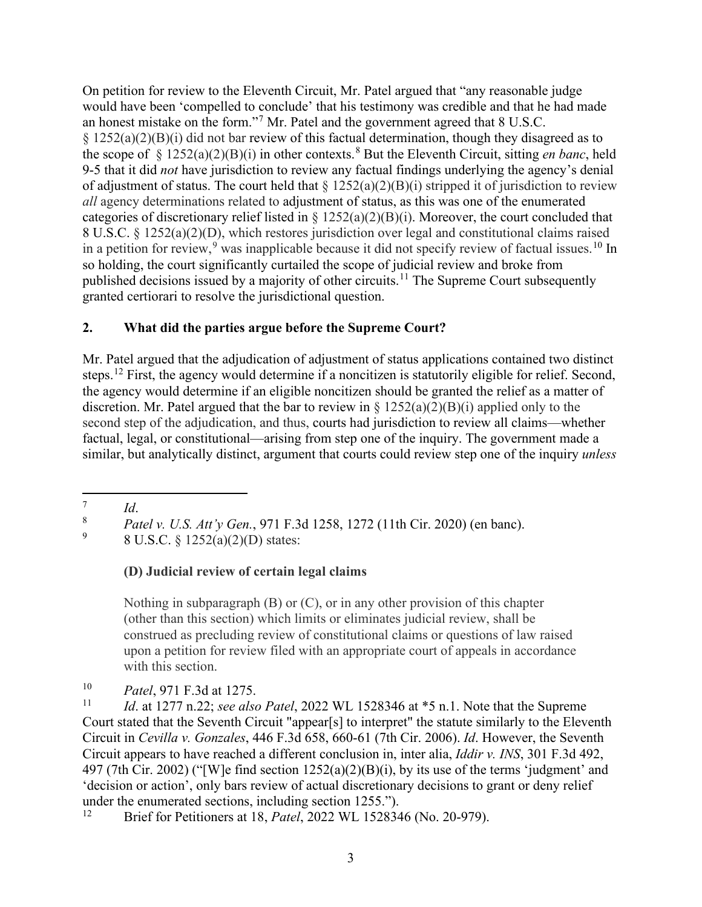On petition for review to the Eleventh Circuit, Mr. Patel argued that "any reasonable judge would have been 'compelled to conclude' that his testimony was credible and that he had made an honest mistake on the form."[7](#page-2-0) Mr. Patel and the government agreed that 8 U.S.C.  $\S$  1252(a)(2)(B)(i) did not bar review of this factual determination, though they disagreed as to the scope of § 1252(a)(2)(B)(i) in other contexts. [8](#page-2-1) But the Eleventh Circuit, sitting *en banc*, held 9-5 that it did *not* have jurisdiction to review any factual findings underlying the agency's denial of adjustment of status. The court held that  $\S 1252(a)(2)(B)(i)$  stripped it of jurisdiction to review *all* agency determinations related to adjustment of status, as this was one of the enumerated categories of discretionary relief listed in § 1252(a)(2)(B)(i). Moreover, the court concluded that 8 U.S.C. § 1252(a)(2)(D), which restores jurisdiction over legal and constitutional claims raised in a petition for review,<sup>[9](#page-2-2)</sup> was inapplicable because it did not specify review of factual issues.<sup>[10](#page-2-3)</sup> In so holding, the court significantly curtailed the scope of judicial review and broke from published decisions issued by a majority of other circuits.<sup>[11](#page-2-4)</sup> The Supreme Court subsequently granted certiorari to resolve the jurisdictional question.

## **2. What did the parties argue before the Supreme Court?**

Mr. Patel argued that the adjudication of adjustment of status applications contained two distinct steps.[12](#page-2-5) First, the agency would determine if a noncitizen is statutorily eligible for relief. Second, the agency would determine if an eligible noncitizen should be granted the relief as a matter of discretion. Mr. Patel argued that the bar to review in  $\S 1252(a)(2)(B)(i)$  applied only to the second step of the adjudication, and thus, courts had jurisdiction to review all claims—whether factual, legal, or constitutional—arising from step one of the inquiry. The government made a similar, but analytically distinct, argument that courts could review step one of the inquiry *unless*

# **(D) Judicial review of certain legal claims**

Nothing in subparagraph (B) or (C), or in any other provision of this chapter (other than this section) which limits or eliminates judicial review, shall be construed as precluding review of constitutional claims or questions of law raised upon a petition for review filed with an appropriate court of appeals in accordance with this section.

<span id="page-2-1"></span><span id="page-2-0"></span>*Id.*<br><sup>8</sup> *Patel v. U.S. Att'y Gen.*, 971 F.3d 1258, 1272 (11th Cir. 2020) (en banc).<br>9 **8 U.S.C.** 8 1252(a)(2)(D) states:

<span id="page-2-2"></span><sup>9</sup> 8 U.S.C. § 1252(a)(2)(D) states:

<span id="page-2-3"></span><sup>&</sup>lt;sup>10</sup> *Patel*, 971 F.3d at 1275.

<span id="page-2-4"></span><sup>11</sup> *Id*. at 1277 n.22; *see also Patel*, 2022 WL 1528346 at \*5 n.1. Note that the Supreme Court stated that the Seventh Circuit "appear[s] to interpret" the statute similarly to the Eleventh Circuit in *Cevilla v. Gonzales*, 446 F.3d 658, 660-61 (7th Cir. 2006). *Id*. However, the Seventh Circuit appears to have reached a different conclusion in, inter alia, *Iddir v. INS*, 301 F.3d 492, 497 (7th Cir. 2002) ("[W]e find section 1252(a)(2)(B)(i), by its use of the terms 'judgment' and 'decision or action', only bars review of actual discretionary decisions to grant or deny relief under the enumerated sections, including section 1255.").<br> $\frac{12}{15}$  Brief for Petitioners at 18 *Patel*, 2022 WI 152834

<span id="page-2-5"></span><sup>12</sup> Brief for Petitioners at 18, *Patel*, 2022 WL 1528346 (No. 20-979).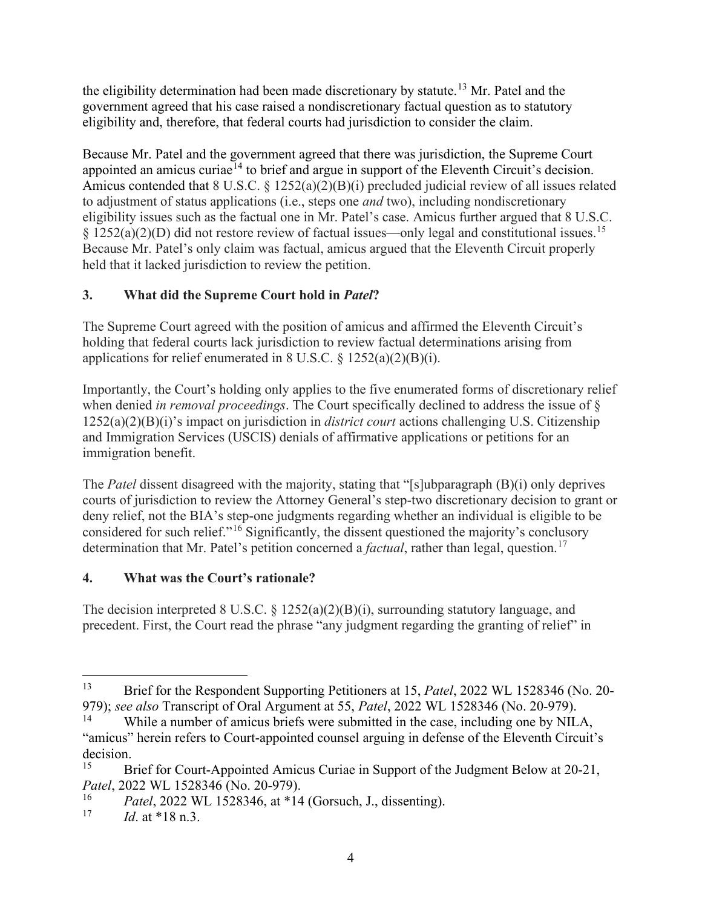the eligibility determination had been made discretionary by statute.<sup>[13](#page-3-0)</sup> Mr. Patel and the government agreed that his case raised a nondiscretionary factual question as to statutory eligibility and, therefore, that federal courts had jurisdiction to consider the claim.

Because Mr. Patel and the government agreed that there was jurisdiction, the Supreme Court appointed an amicus curiae<sup>[14](#page-3-1)</sup> to brief and argue in support of the Eleventh Circuit's decision. Amicus contended that 8 U.S.C. § 1252(a)(2)(B)(i) precluded judicial review of all issues related to adjustment of status applications (i.e., steps one *and* two), including nondiscretionary eligibility issues such as the factual one in Mr. Patel's case. Amicus further argued that 8 U.S.C. § 1252(a)(2)(D) did not restore review of factual issues—only legal and constitutional issues.<sup>[15](#page-3-2)</sup> Because Mr. Patel's only claim was factual, amicus argued that the Eleventh Circuit properly held that it lacked jurisdiction to review the petition.

# **3. What did the Supreme Court hold in** *Patel***?**

The Supreme Court agreed with the position of amicus and affirmed the Eleventh Circuit's holding that federal courts lack jurisdiction to review factual determinations arising from applications for relief enumerated in 8 U.S.C.  $\S 1252(a)(2)(B)(i)$ .

Importantly, the Court's holding only applies to the five enumerated forms of discretionary relief when denied *in removal proceedings*. The Court specifically declined to address the issue of § 1252(a)(2)(B)(i)'s impact on jurisdiction in *district court* actions challenging U.S. Citizenship and Immigration Services (USCIS) denials of affirmative applications or petitions for an immigration benefit.

The *Patel* dissent disagreed with the majority, stating that "[s]ubparagraph (B)(i) only deprives courts of jurisdiction to review the Attorney General's step-two discretionary decision to grant or deny relief, not the BIA's step-one judgments regarding whether an individual is eligible to be considered for such relief."[16](#page-3-3) Significantly, the dissent questioned the majority's conclusory determination that Mr. Patel's petition concerned a *factual*, rather than legal, question.<sup>[17](#page-3-4)</sup>

## **4. What was the Court's rationale?**

The decision interpreted 8 U.S.C. § 1252(a)(2)(B)(i), surrounding statutory language, and precedent. First, the Court read the phrase "any judgment regarding the granting of relief" in

<span id="page-3-0"></span><sup>13</sup> Brief for the Respondent Supporting Petitioners at 15, *Patel*, 2022 WL 1528346 (No. 20- 979); *see also* Transcript of Oral Argument at 55, *Patel*, 2022 WL 1528346 (No. 20-979).

<span id="page-3-1"></span>While a number of amicus briefs were submitted in the case, including one by NILA, "amicus" herein refers to Court-appointed counsel arguing in defense of the Eleventh Circuit's decision.<br> $\frac{15}{2}$ 

<span id="page-3-2"></span><sup>15</sup> Brief for Court-Appointed Amicus Curiae in Support of the Judgment Below at 20-21, *Patel*, 2022 WL 1528346 (No. 20-979).

<span id="page-3-3"></span><sup>&</sup>lt;sup>16</sup> *Patel*, 2022 WL 1528346, at \*14 (Gorsuch, J., dissenting).<br><sup>17</sup> *Id.* at \*18 n 3

<span id="page-3-4"></span>*Id.* at \*18 n.3.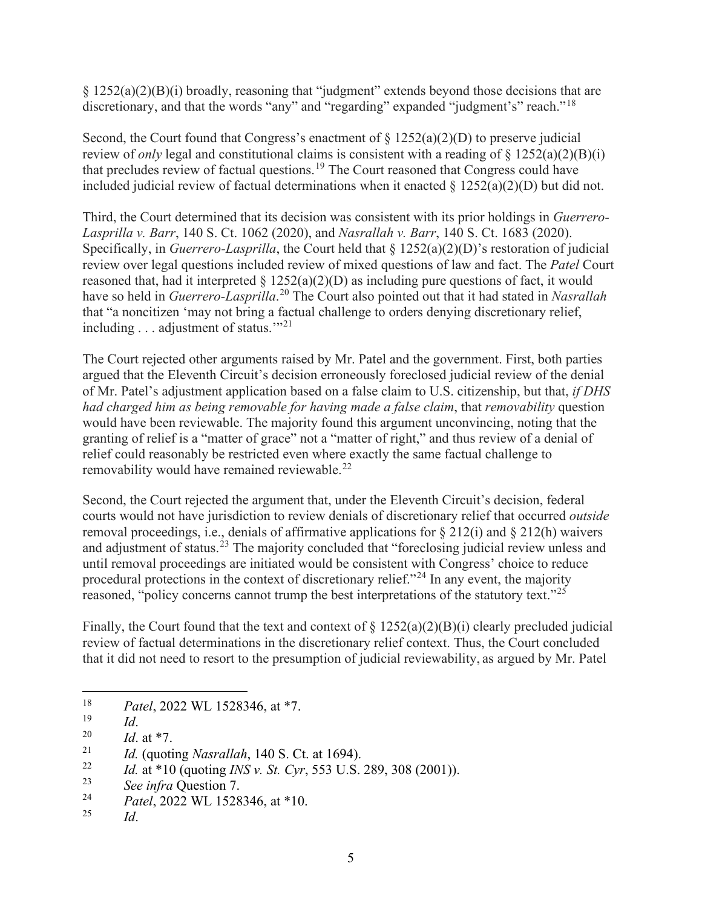§ 1252(a)(2)(B)(i) broadly, reasoning that "judgment" extends beyond those decisions that are discretionary, and that the words "any" and "regarding" expanded "judgment's" reach."<sup>[18](#page-4-0)</sup>

Second, the Court found that Congress's enactment of  $\S 1252(a)(2)(D)$  to preserve judicial review of *only* legal and constitutional claims is consistent with a reading of § 1252(a)(2)(B)(i) that precludes review of factual questions.[19](#page-4-1) The Court reasoned that Congress could have included judicial review of factual determinations when it enacted  $\S$  1252(a)(2)(D) but did not.

Third, the Court determined that its decision was consistent with its prior holdings in *Guerrero-Lasprilla v. Barr*, 140 S. Ct. 1062 (2020), and *Nasrallah v. Barr*, 140 S. Ct. 1683 (2020). Specifically, in *Guerrero-Lasprilla*, the Court held that § 1252(a)(2)(D)'s restoration of judicial review over legal questions included review of mixed questions of law and fact. The *Patel* Court reasoned that, had it interpreted  $\S 1252(a)(2)(D)$  as including pure questions of fact, it would have so held in *Guerrero-Lasprilla*. [20](#page-4-2) The Court also pointed out that it had stated in *Nasrallah* that "a noncitizen 'may not bring a factual challenge to orders denying discretionary relief, including  $\ldots$  adjustment of status."<sup>[21](#page-4-3)</sup>

The Court rejected other arguments raised by Mr. Patel and the government. First, both parties argued that the Eleventh Circuit's decision erroneously foreclosed judicial review of the denial of Mr. Patel's adjustment application based on a false claim to U.S. citizenship, but that, *if DHS had charged him as being removable for having made a false claim*, that *removability* question would have been reviewable. The majority found this argument unconvincing, noting that the granting of relief is a "matter of grace" not a "matter of right," and thus review of a denial of relief could reasonably be restricted even where exactly the same factual challenge to removability would have remained reviewable.<sup>[22](#page-4-4)</sup>

Second, the Court rejected the argument that, under the Eleventh Circuit's decision, federal courts would not have jurisdiction to review denials of discretionary relief that occurred *outside* removal proceedings, i.e., denials of affirmative applications for  $\S 212(i)$  and  $\S 212(h)$  waivers and adjustment of status.<sup>[23](#page-4-5)</sup> The majority concluded that "foreclosing judicial review unless and until removal proceedings are initiated would be consistent with Congress' choice to reduce procedural protections in the context of discretionary relief. $12<sup>24</sup>$  $12<sup>24</sup>$  $12<sup>24</sup>$  In any event, the majority reasoned, "policy concerns cannot trump the best interpretations of the statutory text."<sup>[25](#page-4-7)</sup>

Finally, the Court found that the text and context of  $\S 1252(a)(2)(B)(i)$  clearly precluded judicial review of factual determinations in the discretionary relief context. Thus, the Court concluded that it did not need to resort to the presumption of judicial reviewability, as argued by Mr. Patel

<span id="page-4-0"></span><sup>&</sup>lt;sup>18</sup> *Patel*, 2022 WL 1528346, at \*7.

<span id="page-4-1"></span> $\frac{19}{20}$  *Id.* 

<span id="page-4-2"></span> $\frac{20}{21}$  *Id.* at \*7.

<span id="page-4-3"></span><sup>21</sup> *Id.* (quoting *Nasrallah*, 140 S. Ct. at 1694).

<span id="page-4-4"></span><sup>&</sup>lt;sup>22</sup> *Id.* at \*10 (quoting *INS v. St. Cyr*, 553 U.S. 289, 308 (2001)).<br><sup>23</sup> See infra Question 7

<span id="page-4-6"></span><span id="page-4-5"></span><sup>&</sup>lt;sup>23</sup> *See infra* Question 7.<br><sup>24</sup> *Patel*, 2022 WL 1528346, at \*10.

<span id="page-4-7"></span>*Id.*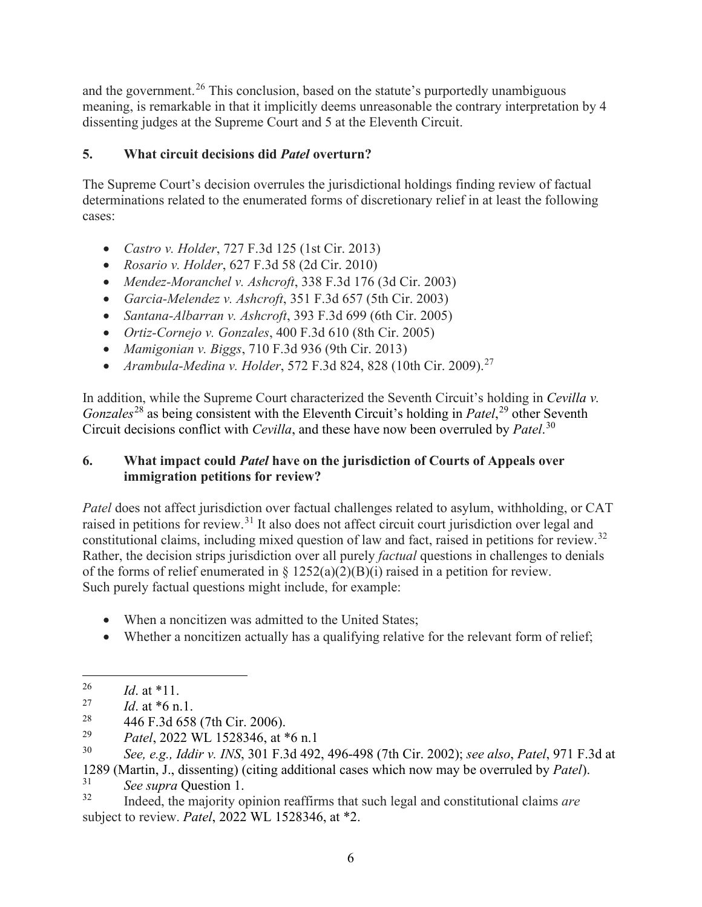and the government.<sup>[26](#page-5-0)</sup> This conclusion, based on the statute's purportedly unambiguous meaning, is remarkable in that it implicitly deems unreasonable the contrary interpretation by 4 dissenting judges at the Supreme Court and 5 at the Eleventh Circuit.

### **5. What circuit decisions did** *Patel* **overturn?**

The Supreme Court's decision overrules the jurisdictional holdings finding review of factual determinations related to the enumerated forms of discretionary relief in at least the following cases:

- *Castro v. Holder*, 727 F.3d 125 (1st Cir. 2013)
- *Rosario v. Holder*, 627 F.3d 58 (2d Cir. 2010)
- *Mendez-Moranchel v. Ashcroft*, 338 F.3d 176 (3d Cir. 2003)
- *Garcia-Melendez v. Ashcroft*, 351 F.3d 657 (5th Cir. 2003)
- *Santana-Albarran v. Ashcroft*, 393 F.3d 699 (6th Cir. 2005)
- *Ortiz-Cornejo v. Gonzales*, 400 F.3d 610 (8th Cir. 2005)
- *Mamigonian v. Biggs*, 710 F.3d 936 (9th Cir. 2013)
- *Arambula-Medina v. Holder*, 572 F.3d 824, 828 (10th Cir. 2009).<sup>[27](#page-5-1)</sup>

In addition, while the Supreme Court characterized the Seventh Circuit's holding in *Cevilla v.*  Gonzales<sup>[28](#page-5-2)</sup> as being consistent with the Eleventh Circuit's holding in *Patel*,<sup>[29](#page-5-3)</sup> other Seventh Circuit decisions conflict with *Cevilla*, and these have now been overruled by *Patel*. [30](#page-5-4)

#### **6. What impact could** *Patel* **have on the jurisdiction of Courts of Appeals over immigration petitions for review?**

*Patel* does not affect jurisdiction over factual challenges related to asylum, withholding, or CAT raised in petitions for review.[31](#page-5-5) It also does not affect circuit court jurisdiction over legal and constitutional claims, including mixed question of law and fact, raised in petitions for review.<sup>[32](#page-5-6)</sup> Rather, the decision strips jurisdiction over all purely *factual* questions in challenges to denials of the forms of relief enumerated in  $\S 1252(a)(2)(B)(i)$  raised in a petition for review. Such purely factual questions might include, for example:

- When a noncitizen was admitted to the United States:
- Whether a noncitizen actually has a qualifying relative for the relevant form of relief;

<span id="page-5-4"></span><span id="page-5-3"></span><sup>29</sup> *Patel*, 2022 WL 1528346, at \*6 n.1<br><sup>30</sup> See e.g. Iddir. INS 301 F 3d 492

<span id="page-5-0"></span> $\frac{26}{27}$  *Id.* at \*11.

<span id="page-5-1"></span> $\frac{27}{28}$  *Id.* at \*6 n.1.

<span id="page-5-2"></span><sup>&</sup>lt;sup>28</sup> 446 F.3d 658 (7th Cir. 2006).<br><sup>29</sup> Patel 2022 WI 1528346 et \*

<sup>30</sup> *See, e.g., Iddir v. INS*, 301 F.3d 492, 496-498 (7th Cir. 2002); *see also*, *Patel*, 971 F.3d at

<span id="page-5-5"></span><sup>1289</sup> (Martin, J., dissenting) (citing additional cases which now may be overruled by *Patel*). <sup>31</sup> *See supra* Question 1.

<span id="page-5-6"></span><sup>32</sup> Indeed, the majority opinion reaffirms that such legal and constitutional claims *are* subject to review. *Patel*, 2022 WL 1528346, at \*2.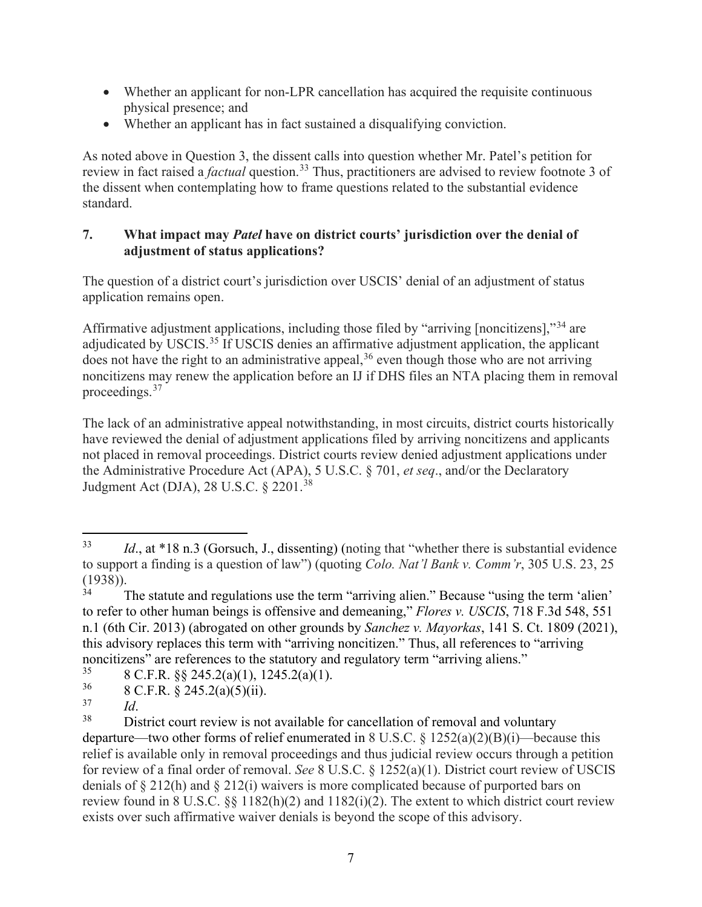- Whether an applicant for non-LPR cancellation has acquired the requisite continuous physical presence; and
- Whether an applicant has in fact sustained a disqualifying conviction.

As noted above in Question 3, the dissent calls into question whether Mr. Patel's petition for review in fact raised a *factual* question.<sup>[33](#page-6-0)</sup> Thus, practitioners are advised to review footnote 3 of the dissent when contemplating how to frame questions related to the substantial evidence standard.

#### **7. What impact may** *Patel* **have on district courts' jurisdiction over the denial of adjustment of status applications?**

The question of a district court's jurisdiction over USCIS' denial of an adjustment of status application remains open.

Affirmative adjustment applications, including those filed by "arriving [noncitizens],"[34](#page-6-1) are adjudicated by USCIS.<sup>[35](#page-6-2)</sup> If USCIS denies an affirmative adjustment application, the applicant does not have the right to an administrative appeal,<sup>[36](#page-6-3)</sup> even though those who are not arriving noncitizens may renew the application before an IJ if DHS files an NTA placing them in removal proceedings.<sup>[37](#page-6-4)</sup>

The lack of an administrative appeal notwithstanding, in most circuits, district courts historically have reviewed the denial of adjustment applications filed by arriving noncitizens and applicants not placed in removal proceedings. District courts review denied adjustment applications under the Administrative Procedure Act (APA), 5 U.S.C. § 701, *et seq*., and/or the Declaratory Judgment Act (DJA), 28 U.S.C. § 2201.<sup>[38](#page-6-5)</sup>

<span id="page-6-0"></span><sup>33</sup> *Id*., at \*18 n.3 (Gorsuch, J., dissenting) (noting that "whether there is substantial evidence to support a finding is a question of law") (quoting *Colo. Nat'l Bank v. Comm'r*, 305 U.S. 23, 25  $(1938)$ ).

<span id="page-6-1"></span>The statute and regulations use the term "arriving alien." Because "using the term 'alien' to refer to other human beings is offensive and demeaning," *Flores v. USCIS*, 718 F.3d 548, 551 n.1 (6th Cir. 2013) (abrogated on other grounds by *Sanchez v. Mayorkas*, 141 S. Ct. 1809 (2021), this advisory replaces this term with "arriving noncitizen." Thus, all references to "arriving noncitizens" are references to the statutory and regulatory term "arriving aliens."<br>  $8 \text{ C} \to 88.245.2\frac{(0)(1)}{1245.2}$ 

<span id="page-6-2"></span><sup>&</sup>lt;sup>35</sup> 8 C.F.R. §§ 245.2(a)(1), 1245.2(a)(1).<br><sup>36</sup> 8 C.E.B. § 245.2(a)(5)(;i)

<span id="page-6-3"></span> $\frac{36}{37}$  8 C.F.R. § 245.2(a)(5)(ii).

<span id="page-6-5"></span><span id="page-6-4"></span><sup>&</sup>lt;sup>37</sup> *Id*.<br><sup>38</sup> District court review is not available for cancellation of removal and voluntary departure—two other forms of relief enumerated in 8 U.S.C.  $\frac{1252(a)(2)(B)(i)}{B}$  because this relief is available only in removal proceedings and thus judicial review occurs through a petition for review of a final order of removal. *See* 8 U.S.C. § 1252(a)(1). District court review of USCIS denials of § 212(h) and § 212(i) waivers is more complicated because of purported bars on review found in 8 U.S.C. §§ 1182(h)(2) and 1182(i)(2). The extent to which district court review exists over such affirmative waiver denials is beyond the scope of this advisory.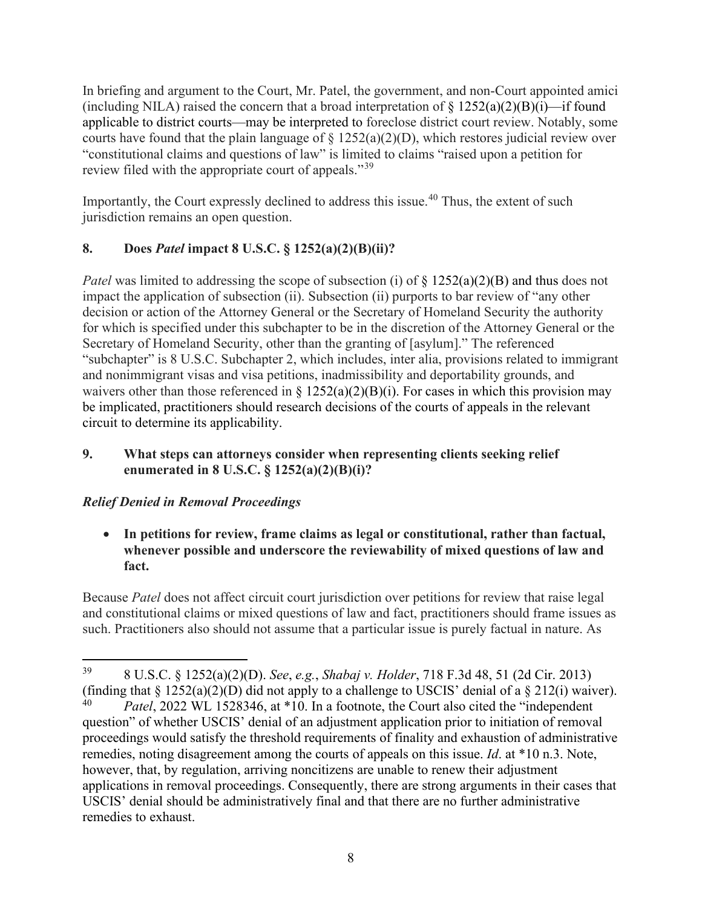In briefing and argument to the Court, Mr. Patel, the government, and non-Court appointed amici (including NILA) raised the concern that a broad interpretation of  $\S$  1252(a)(2)(B)(i)—if found applicable to district courts—may be interpreted to foreclose district court review. Notably, some courts have found that the plain language of  $\S 1252(a)(2)(D)$ , which restores judicial review over "constitutional claims and questions of law" is limited to claims "raised upon a petition for review filed with the appropriate court of appeals."<sup>[39](#page-7-0)</sup>

Importantly, the Court expressly declined to address this issue.<sup>[40](#page-7-1)</sup> Thus, the extent of such jurisdiction remains an open question.

# **8. Does** *Patel* **impact 8 U.S.C. § 1252(a)(2)(B)(ii)?**

*Patel* was limited to addressing the scope of subsection (i) of  $\S$  1252(a)(2)(B) and thus does not impact the application of subsection (ii). Subsection (ii) purports to bar review of "any other decision or action of the Attorney General or the Secretary of Homeland Security the authority for which is specified under this subchapter to be in the discretion of the Attorney General or the Secretary of Homeland Security, other than the granting of [asylum]." The referenced "subchapter" is 8 U.S.C. Subchapter 2, which includes, inter alia, provisions related to immigrant and nonimmigrant visas and visa petitions, inadmissibility and deportability grounds, and waivers other than those referenced in §  $1252(a)(2)(B)(i)$ . For cases in which this provision may be implicated, practitioners should research decisions of the courts of appeals in the relevant circuit to determine its applicability.

### **9. What steps can attorneys consider when representing clients seeking relief enumerated in 8 U.S.C. § 1252(a)(2)(B)(i)?**

## *Relief Denied in Removal Proceedings*

• **In petitions for review, frame claims as legal or constitutional, rather than factual, whenever possible and underscore the reviewability of mixed questions of law and fact.** 

Because *Patel* does not affect circuit court jurisdiction over petitions for review that raise legal and constitutional claims or mixed questions of law and fact, practitioners should frame issues as such. Practitioners also should not assume that a particular issue is purely factual in nature. As

<span id="page-7-1"></span><span id="page-7-0"></span><sup>39</sup> 8 U.S.C. § 1252(a)(2)(D). *See*, *e.g.*, *Shabaj v. Holder*, 718 F.3d 48, 51 (2d Cir. 2013) (finding that  $\S 1252(a)(2)(D)$  did not apply to a challenge to USCIS' denial of a  $\S 212(i)$  waiver). <sup>40</sup> *Patel*, 2022 WL 1528346, at \*10. In a footnote, the Court also cited the "independent question" of whether USCIS' denial of an adjustment application prior to initiation of removal proceedings would satisfy the threshold requirements of finality and exhaustion of administrative remedies, noting disagreement among the courts of appeals on this issue. *Id*. at \*10 n.3. Note, however, that, by regulation, arriving noncitizens are unable to renew their adjustment applications in removal proceedings. Consequently, there are strong arguments in their cases that USCIS' denial should be administratively final and that there are no further administrative remedies to exhaust.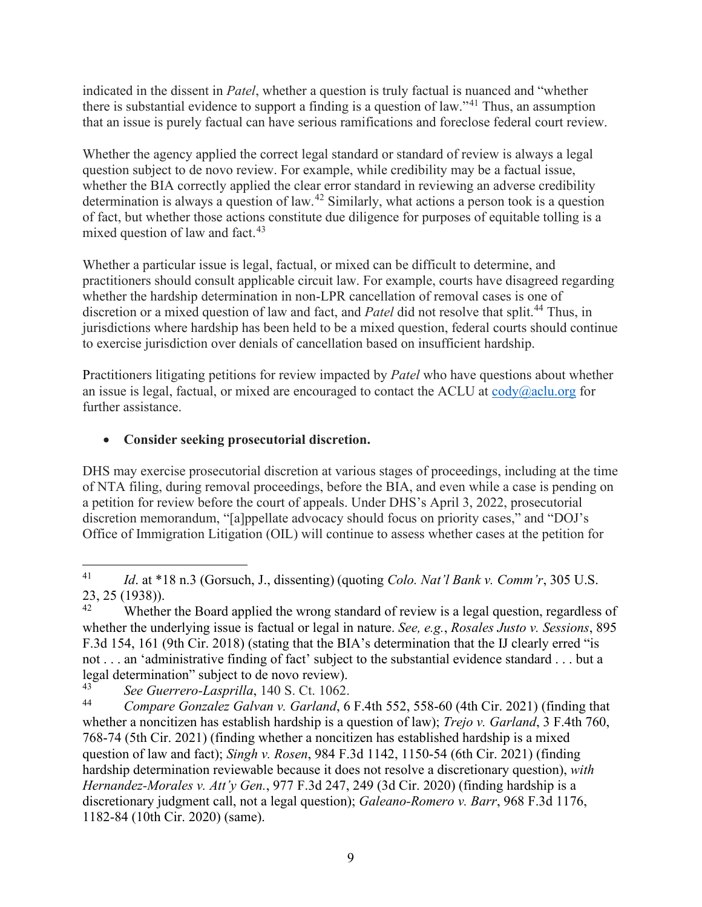indicated in the dissent in *Patel*, whether a question is truly factual is nuanced and "whether there is substantial evidence to support a finding is a question of law."<sup>[41](#page-8-0)</sup> Thus, an assumption that an issue is purely factual can have serious ramifications and foreclose federal court review.

Whether the agency applied the correct legal standard or standard of review is always a legal question subject to de novo review. For example, while credibility may be a factual issue, whether the BIA correctly applied the clear error standard in reviewing an adverse credibility determination is always a question of law.<sup>[42](#page-8-1)</sup> Similarly, what actions a person took is a question of fact, but whether those actions constitute due diligence for purposes of equitable tolling is a mixed question of law and fact. $43$ 

Whether a particular issue is legal, factual, or mixed can be difficult to determine, and practitioners should consult applicable circuit law. For example, courts have disagreed regarding whether the hardship determination in non-LPR cancellation of removal cases is one of discretion or a mixed question of law and fact, and *Patel* did not resolve that split. [44](#page-8-3) Thus, in jurisdictions where hardship has been held to be a mixed question, federal courts should continue to exercise jurisdiction over denials of cancellation based on insufficient hardship.

Practitioners litigating petitions for review impacted by *Patel* who have questions about whether an issue is legal, factual, or mixed are encouraged to contact the ACLU at  $\text{cody}(\widehat{a})$  aclu.org for further assistance.

# • **Consider seeking prosecutorial discretion.**

DHS may exercise prosecutorial discretion at various stages of proceedings, including at the time of NTA filing, during removal proceedings, before the BIA, and even while a case is pending on a petition for review before the court of appeals. Under DHS's April 3, 2022, prosecutorial discretion memorandum, "[a]ppellate advocacy should focus on priority cases," and "DOJ's Office of Immigration Litigation (OIL) will continue to assess whether cases at the petition for

<span id="page-8-0"></span><sup>41</sup> *Id*. at \*18 n.3 (Gorsuch, J., dissenting) (quoting *Colo. Nat'l Bank v. Comm'r*, 305 U.S.

<span id="page-8-1"></span><sup>23, 25 (1938)).&</sup>lt;br><sup>42</sup> Whether the Board applied the wrong standard of review is a legal question, regardless of whether the underlying issue is factual or legal in nature. *See, e.g.*, *Rosales Justo v. Sessions*, 895 F.3d 154, 161 (9th Cir. 2018) (stating that the BIA's determination that the IJ clearly erred "is not . . . an 'administrative finding of fact' subject to the substantial evidence standard . . . but a legal determination" subject to de novo review).<br> $\frac{43}{100}$  See Cuguaye Lagrailla, 140 S, Ct, 1062

<span id="page-8-2"></span><sup>43</sup> *See Guerrero-Lasprilla*, 140 S. Ct. 1062.

<span id="page-8-3"></span><sup>44</sup> *Compare Gonzalez Galvan v. Garland*, 6 F.4th 552, 558-60 (4th Cir. 2021) (finding that whether a noncitizen has establish hardship is a question of law); *Trejo v. Garland*, 3 F.4th 760, 768-74 (5th Cir. 2021) (finding whether a noncitizen has established hardship is a mixed question of law and fact); *Singh v. Rosen*, 984 F.3d 1142, 1150-54 (6th Cir. 2021) (finding hardship determination reviewable because it does not resolve a discretionary question), *with Hernandez-Morales v. Att'y Gen.*, 977 F.3d 247, 249 (3d Cir. 2020) (finding hardship is a discretionary judgment call, not a legal question); *Galeano-Romero v. Barr*, 968 F.3d 1176, 1182-84 (10th Cir. 2020) (same).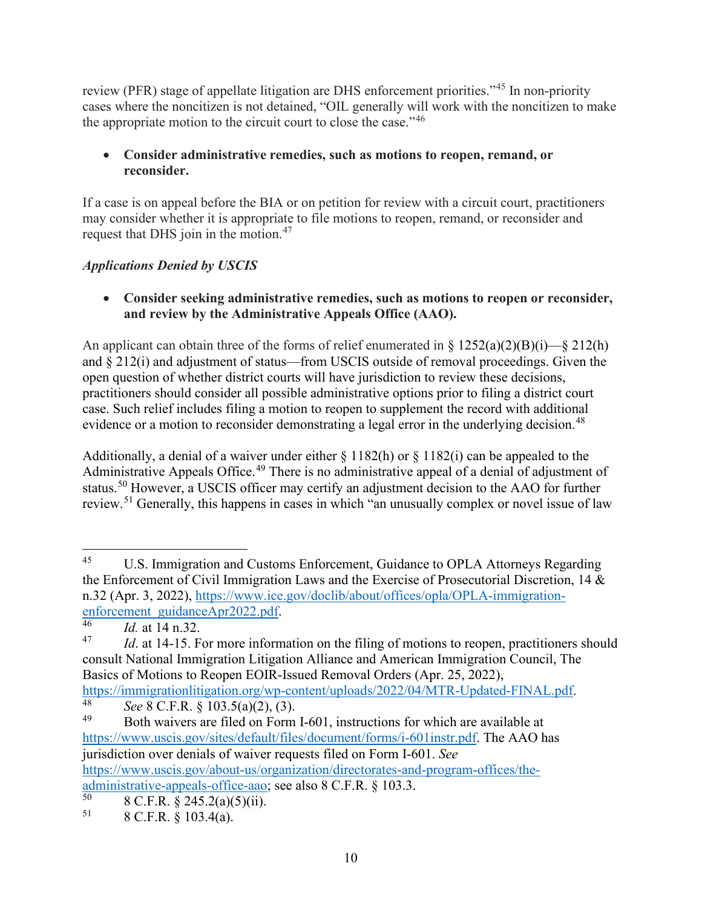review (PFR) stage of appellate litigation are DHS enforcement priorities."[45](#page-9-0) In non-priority cases where the noncitizen is not detained, "OIL generally will work with the noncitizen to make the appropriate motion to the circuit court to close the case."<sup>[46](#page-9-1)</sup>

### • **Consider administrative remedies, such as motions to reopen, remand, or reconsider.**

If a case is on appeal before the BIA or on petition for review with a circuit court, practitioners may consider whether it is appropriate to file motions to reopen, remand, or reconsider and request that DHS join in the motion.[47](#page-9-2)

# *Applications Denied by USCIS*

• **Consider seeking administrative remedies, such as motions to reopen or reconsider, and review by the Administrative Appeals Office (AAO).**

An applicant can obtain three of the forms of relief enumerated in §  $1252(a)(2)(B)(i)$ —§ 212(h) and § 212(i) and adjustment of status—from USCIS outside of removal proceedings. Given the open question of whether district courts will have jurisdiction to review these decisions, practitioners should consider all possible administrative options prior to filing a district court case. Such relief includes filing a motion to reopen to supplement the record with additional evidence or a motion to reconsider demonstrating a legal error in the underlying decision.<sup>[48](#page-9-3)</sup>

Additionally, a denial of a waiver under either  $\S 1182(h)$  or  $\S 1182(i)$  can be appealed to the Administrative Appeals Office.<sup>[49](#page-9-4)</sup> There is no administrative appeal of a denial of adjustment of status.<sup>[50](#page-9-5)</sup> However, a USCIS officer may certify an adjustment decision to the AAO for further review.<sup>[51](#page-9-6)</sup> Generally, this happens in cases in which "an unusually complex or novel issue of law

<span id="page-9-0"></span><sup>45</sup> U.S. Immigration and Customs Enforcement, Guidance to OPLA Attorneys Regarding the Enforcement of Civil Immigration Laws and the Exercise of Prosecutorial Discretion, 14 & n.32 (Apr. 3, 2022), [https://www.ice.gov/doclib/about/offices/opla/OPLA-immigration](https://www.ice.gov/doclib/about/offices/opla/OPLA-immigration-enforcement_guidanceApr2022.pdf)[enforcement\\_guidanceApr2022.pdf.](https://www.ice.gov/doclib/about/offices/opla/OPLA-immigration-enforcement_guidanceApr2022.pdf)<br> $^{46}$   $^{14}$  at 14 p 32

<span id="page-9-2"></span><span id="page-9-1"></span><sup>&</sup>lt;sup>46</sup> *Id.* at 14 n.32.<br><sup>47</sup> *Id.* at 14-15. For more information on the filing of motions to reopen, practitioners should consult National Immigration Litigation Alliance and American Immigration Council, The Basics of Motions to Reopen EOIR-Issued Removal Orders (Apr. 25, 2022), [https://immigrationlitigation.org/wp-content/uploads/2022/04/MTR-Updated-FINAL.pdf.](https://immigrationlitigation.org/wp-content/uploads/2022/04/MTR-Updated-FINAL.pdf)<br>48 See & C E P & 103 5(a)(2) (3)

<span id="page-9-3"></span><sup>&</sup>lt;sup>48</sup> *See* 8 C.F.R. § 103.5(a)(2), (3).

<span id="page-9-4"></span>Both waivers are filed on Form I-601, instructions for which are available at [https://www.uscis.gov/sites/default/files/document/forms/i-601instr.pdf.](https://www.uscis.gov/sites/default/files/document/forms/i-601instr.pdf) The AAO has jurisdiction over denials of waiver requests filed on Form I-601. *See* https://www.uscis.gov/about-us/organization/directorates-and-program-offices/the-<u>administrative-appeals-office-aao</u>; see also 8 C.F.R. § 103.3.<br> $rac{50}{8}$  **8 C.F.D.** § 245 2( $\Omega$ )(5)(ii)

<span id="page-9-6"></span><span id="page-9-5"></span> $^{50}$  8 C.F.R. § 245.2(a)(5)(ii).<br> $^{51}$  8 C.F.R. § 103.4(a)

<sup>8</sup> C.F.R. § 103.4(a).